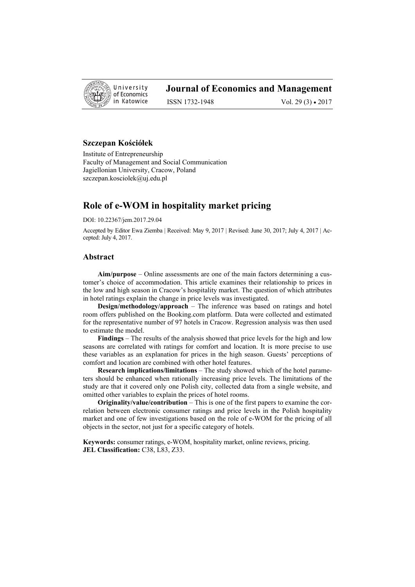

# **Journal of Economics and Management**

ISSN 1732-1948 Vol. 29 (3) • 2017

## **Szczepan Kościółek**

Institute of Entrepreneurship Faculty of Management and Social Communication Jagiellonian University, Cracow, Poland szczepan.kosciolek@uj.edu.pl

# **Role of e-WOM in hospitality market pricing**

DOI: 10.22367/jem.2017.29.04

Accepted by Editor Ewa Ziemba | Received: May 9, 2017 | Revised: June 30, 2017; July 4, 2017 | Accepted: July 4, 2017.

## **Abstract**

**Aim/purpose** – Online assessments are one of the main factors determining a customer's choice of accommodation. This article examines their relationship to prices in the low and high season in Cracow's hospitality market. The question of which attributes in hotel ratings explain the change in price levels was investigated.

**Design/methodology/approach** – The inference was based on ratings and hotel room offers published on the Booking.com platform. Data were collected and estimated for the representative number of 97 hotels in Cracow. Regression analysis was then used to estimate the model.

**Findings** – The results of the analysis showed that price levels for the high and low seasons are correlated with ratings for comfort and location. It is more precise to use these variables as an explanation for prices in the high season. Guests' perceptions of comfort and location are combined with other hotel features.

**Research implications/limitations** – The study showed which of the hotel parameters should be enhanced when rationally increasing price levels. The limitations of the study are that it covered only one Polish city, collected data from a single website, and omitted other variables to explain the prices of hotel rooms.

**Originality/value/contribution** – This is one of the first papers to examine the correlation between electronic consumer ratings and price levels in the Polish hospitality market and one of few investigations based on the role of e-WOM for the pricing of all objects in the sector, not just for a specific category of hotels.

**Keywords:** consumer ratings, e-WOM, hospitality market, online reviews, pricing. **JEL Classification:** C38, L83, Z33.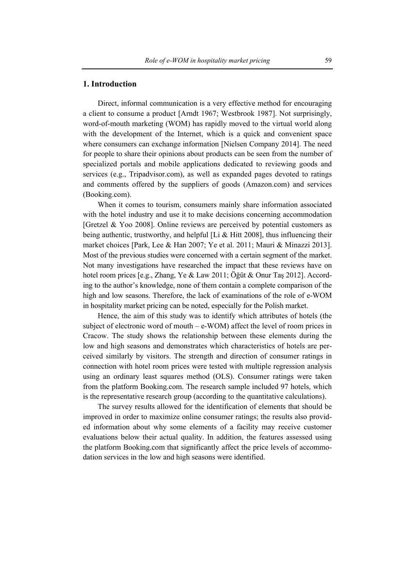#### **1. Introduction**

Direct, informal communication is a very effective method for encouraging a client to consume a product [Arndt 1967; Westbrook 1987]. Not surprisingly, word-of-mouth marketing (WOM) has rapidly moved to the virtual world along with the development of the Internet, which is a quick and convenient space where consumers can exchange information [Nielsen Company 2014]. The need for people to share their opinions about products can be seen from the number of specialized portals and mobile applications dedicated to reviewing goods and services (e.g., Tripadvisor.com), as well as expanded pages devoted to ratings and comments offered by the suppliers of goods (Amazon.com) and services (Booking.com).

When it comes to tourism, consumers mainly share information associated with the hotel industry and use it to make decisions concerning accommodation [Gretzel & Yoo 2008]. Online reviews are perceived by potential customers as being authentic, trustworthy, and helpful [Li  $&$  Hitt 2008], thus influencing their market choices [Park, Lee & Han 2007; Ye et al. 2011; Mauri & Minazzi 2013]. Most of the previous studies were concerned with a certain segment of the market. Not many investigations have researched the impact that these reviews have on hotel room prices [e.g., Zhang, Ye & Law 2011; Öğüt & Onur Taş 2012]. According to the author's knowledge, none of them contain a complete comparison of the high and low seasons. Therefore, the lack of examinations of the role of e-WOM in hospitality market pricing can be noted, especially for the Polish market.

Hence, the aim of this study was to identify which attributes of hotels (the subject of electronic word of mouth  $-e-WOM$ ) affect the level of room prices in Cracow. The study shows the relationship between these elements during the low and high seasons and demonstrates which characteristics of hotels are perceived similarly by visitors. The strength and direction of consumer ratings in connection with hotel room prices were tested with multiple regression analysis using an ordinary least squares method (OLS). Consumer ratings were taken from the platform Booking.com. The research sample included 97 hotels, which is the representative research group (according to the quantitative calculations).

The survey results allowed for the identification of elements that should be improved in order to maximize online consumer ratings; the results also provided information about why some elements of a facility may receive customer evaluations below their actual quality. In addition, the features assessed using the platform Booking.com that significantly affect the price levels of accommodation services in the low and high seasons were identified.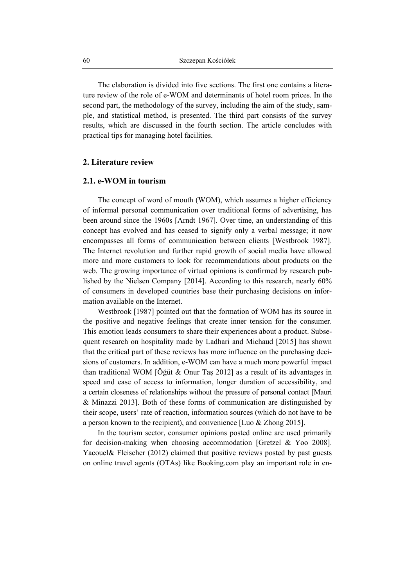The elaboration is divided into five sections. The first one contains a literature review of the role of e-WOM and determinants of hotel room prices. In the second part, the methodology of the survey, including the aim of the study, sample, and statistical method, is presented. The third part consists of the survey results, which are discussed in the fourth section. The article concludes with practical tips for managing hotel facilities.

#### **2. Literature review**

### **2.1. e-WOM in tourism**

The concept of word of mouth (WOM), which assumes a higher efficiency of informal personal communication over traditional forms of advertising, has been around since the 1960s [Arndt 1967]. Over time, an understanding of this concept has evolved and has ceased to signify only a verbal message; it now encompasses all forms of communication between clients [Westbrook 1987]. The Internet revolution and further rapid growth of social media have allowed more and more customers to look for recommendations about products on the web. The growing importance of virtual opinions is confirmed by research published by the Nielsen Company [2014]. According to this research, nearly 60% of consumers in developed countries base their purchasing decisions on information available on the Internet.

Westbrook [1987] pointed out that the formation of WOM has its source in the positive and negative feelings that create inner tension for the consumer. This emotion leads consumers to share their experiences about a product. Subsequent research on hospitality made by Ladhari and Michaud [2015] has shown that the critical part of these reviews has more influence on the purchasing decisions of customers. In addition, e-WOM can have a much more powerful impact than traditional WOM [Öğüt & Onur Taş 2012] as a result of its advantages in speed and ease of access to information, longer duration of accessibility, and a certain closeness of relationships without the pressure of personal contact [Mauri & Minazzi 2013]. Both of these forms of communication are distinguished by their scope, users' rate of reaction, information sources (which do not have to be a person known to the recipient), and convenience [Luo & Zhong 2015].

In the tourism sector, consumer opinions posted online are used primarily for decision-making when choosing accommodation [Gretzel & Yoo 2008]. Yacouel& Fleischer (2012) claimed that positive reviews posted by past guests on online travel agents (OTAs) like Booking.com play an important role in en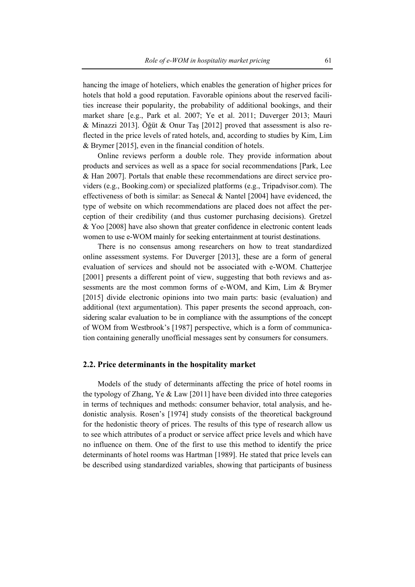hancing the image of hoteliers, which enables the generation of higher prices for hotels that hold a good reputation. Favorable opinions about the reserved facilities increase their popularity, the probability of additional bookings, and their market share [e.g., Park et al. 2007; Ye et al. 2011; Duverger 2013; Mauri & Minazzi 2013]. Öğüt & Onur Taş [2012] proved that assessment is also reflected in the price levels of rated hotels, and, according to studies by Kim, Lim & Brymer [2015], even in the financial condition of hotels.

Online reviews perform a double role. They provide information about products and services as well as a space for social recommendations [Park, Lee & Han 2007]. Portals that enable these recommendations are direct service providers (e.g., Booking.com) or specialized platforms (e.g., Tripadvisor.com). The effectiveness of both is similar: as Senecal & Nantel [2004] have evidenced, the type of website on which recommendations are placed does not affect the perception of their credibility (and thus customer purchasing decisions). Gretzel & Yoo [2008] have also shown that greater confidence in electronic content leads women to use e-WOM mainly for seeking entertainment at tourist destinations.

There is no consensus among researchers on how to treat standardized online assessment systems. For Duverger [2013], these are a form of general evaluation of services and should not be associated with e-WOM. Chatterjee [2001] presents a different point of view, suggesting that both reviews and assessments are the most common forms of e-WOM, and Kim, Lim & Brymer [2015] divide electronic opinions into two main parts: basic (evaluation) and additional (text argumentation). This paper presents the second approach, considering scalar evaluation to be in compliance with the assumptions of the concept of WOM from Westbrook's [1987] perspective, which is a form of communication containing generally unofficial messages sent by consumers for consumers.

## **2.2. Price determinants in the hospitality market**

Models of the study of determinants affecting the price of hotel rooms in the typology of Zhang, Ye & Law [2011] have been divided into three categories in terms of techniques and methods: consumer behavior, total analysis, and hedonistic analysis. Rosen's [1974] study consists of the theoretical background for the hedonistic theory of prices. The results of this type of research allow us to see which attributes of a product or service affect price levels and which have no influence on them. One of the first to use this method to identify the price determinants of hotel rooms was Hartman [1989]. He stated that price levels can be described using standardized variables, showing that participants of business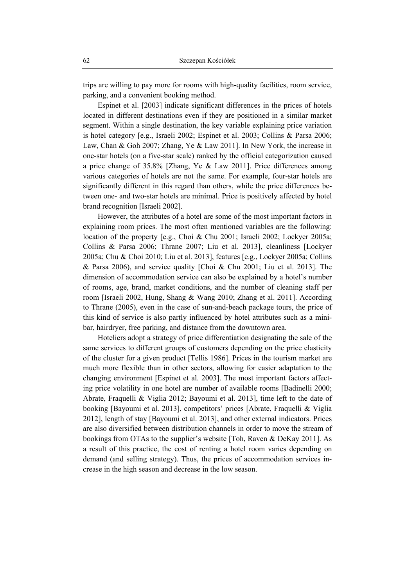trips are willing to pay more for rooms with high-quality facilities, room service, parking, and a convenient booking method.

Espinet et al. [2003] indicate significant differences in the prices of hotels located in different destinations even if they are positioned in a similar market segment. Within a single destination, the key variable explaining price variation is hotel category [e.g., Israeli 2002; Espinet et al. 2003; Collins & Parsa 2006; Law, Chan & Goh 2007; Zhang, Ye & Law 2011]. In New York, the increase in one-star hotels (on a five-star scale) ranked by the official categorization caused a price change of 35.8% [Zhang, Ye & Law 2011]. Price differences among various categories of hotels are not the same. For example, four-star hotels are significantly different in this regard than others, while the price differences between one- and two-star hotels are minimal. Price is positively affected by hotel brand recognition [Israeli 2002].

However, the attributes of a hotel are some of the most important factors in explaining room prices. The most often mentioned variables are the following: location of the property [e.g., Choi & Chu 2001; Israeli 2002; Lockyer 2005a; Collins & Parsa 2006; Thrane 2007; Liu et al. 2013], cleanliness [Lockyer 2005a; Chu & Choi 2010; Liu et al. 2013], features [e.g., Lockyer 2005a; Collins & Parsa 2006), and service quality [Choi & Chu 2001; Liu et al. 2013]. The dimension of accommodation service can also be explained by a hotel's number of rooms, age, brand, market conditions, and the number of cleaning staff per room [Israeli 2002, Hung, Shang & Wang 2010; Zhang et al. 2011]. According to Thrane (2005), even in the case of sun-and-beach package tours, the price of this kind of service is also partly influenced by hotel attributes such as a minibar, hairdryer, free parking, and distance from the downtown area.

Hoteliers adopt a strategy of price differentiation designating the sale of the same services to different groups of customers depending on the price elasticity of the cluster for a given product [Tellis 1986]. Prices in the tourism market are much more flexible than in other sectors, allowing for easier adaptation to the changing environment [Espinet et al. 2003]. The most important factors affecting price volatility in one hotel are number of available rooms [Badinelli 2000; Abrate, Fraquelli & Viglia 2012; Bayoumi et al. 2013], time left to the date of booking [Bayoumi et al. 2013], competitors' prices [Abrate, Fraquelli & Viglia 2012], length of stay [Bayoumi et al. 2013], and other external indicators. Prices are also diversified between distribution channels in order to move the stream of bookings from OTAs to the supplier's website [Toh, Raven & DeKay 2011]. As a result of this practice, the cost of renting a hotel room varies depending on demand (and selling strategy). Thus, the prices of accommodation services increase in the high season and decrease in the low season.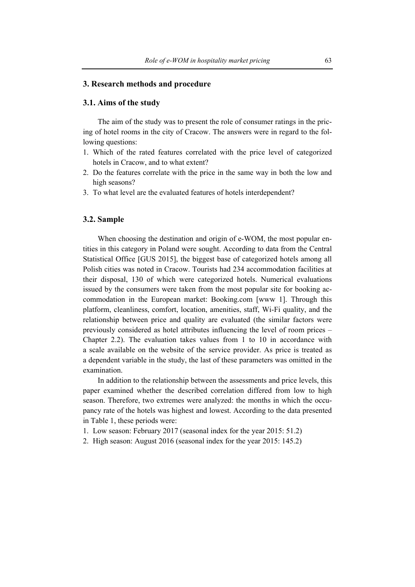#### **3. Research methods and procedure**

### **3.1. Aims of the study**

The aim of the study was to present the role of consumer ratings in the pricing of hotel rooms in the city of Cracow. The answers were in regard to the following questions:

- 1. Which of the rated features correlated with the price level of categorized hotels in Cracow, and to what extent?
- 2. Do the features correlate with the price in the same way in both the low and high seasons?
- 3. To what level are the evaluated features of hotels interdependent?

# **3.2. Sample**

When choosing the destination and origin of e-WOM, the most popular entities in this category in Poland were sought. According to data from the Central Statistical Office [GUS 2015], the biggest base of categorized hotels among all Polish cities was noted in Cracow. Tourists had 234 accommodation facilities at their disposal, 130 of which were categorized hotels. Numerical evaluations issued by the consumers were taken from the most popular site for booking accommodation in the European market: Booking.com [www 1]. Through this platform, cleanliness, comfort, location, amenities, staff, Wi-Fi quality, and the relationship between price and quality are evaluated (the similar factors were previously considered as hotel attributes influencing the level of room prices – Chapter 2.2). The evaluation takes values from 1 to 10 in accordance with a scale available on the website of the service provider. As price is treated as a dependent variable in the study, the last of these parameters was omitted in the examination.

In addition to the relationship between the assessments and price levels, this paper examined whether the described correlation differed from low to high season. Therefore, two extremes were analyzed: the months in which the occupancy rate of the hotels was highest and lowest. According to the data presented in Table 1, these periods were:

- 1. Low season: February 2017 (seasonal index for the year 2015: 51.2)
- 2. High season: August 2016 (seasonal index for the year 2015: 145.2)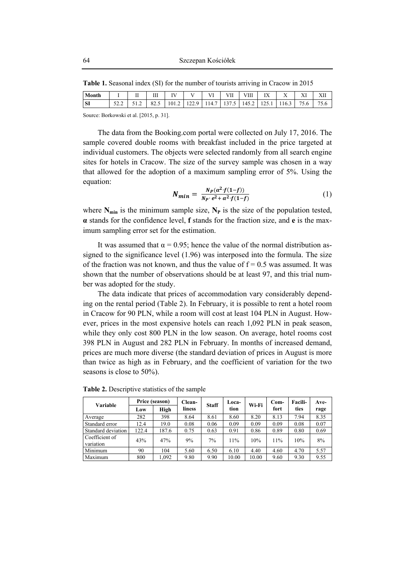| Month |                 | <b>YY</b><br>$\mathbf{r}$<br>-- | Ш    | <b>TY</b> T |            | <b>Y</b> YY | <b>ETT</b><br>$\mathbf{H}$ | ∕Ш    | IX               | $\Lambda$ | <b>TT</b><br>28 L | YH<br>$\Delta$ 11 |
|-------|-----------------|---------------------------------|------|-------------|------------|-------------|----------------------------|-------|------------------|-----------|-------------------|-------------------|
| SI    | $\sim$<br>ے ۔ ب | - - - - -                       | 82.J | 101.2       | Q<br>1/4.7 | 114.        | 13/<br>$\cdot$             | 145.2 | $\gamma$<br>12.1 | 10.3      | $- -$<br>5.6      | $- -$<br>7.O      |

**Table 1.** Seasonal index (SI) for the number of tourists arriving in Cracow in 2015

Source: Borkowski et al. [2015, p. 31].

The data from the Booking.com portal were collected on July 17, 2016. The sample covered double rooms with breakfast included in the price targeted at individual customers. The objects were selected randomly from all search engine sites for hotels in Cracow. The size of the survey sample was chosen in a way that allowed for the adoption of a maximum sampling error of 5%. Using the equation:

$$
N_{min} = \frac{N_P(\alpha^2 \cdot f(1-f))}{N_P \cdot e^2 + \alpha^2 \cdot f(1-f)}
$$
(1)

where  $N_{\text{min}}$  is the minimum sample size,  $N_P$  is the size of the population tested, **α** stands for the confidence level, **f** stands for the fraction size, and **e** is the maximum sampling error set for the estimation.

It was assumed that  $\alpha = 0.95$ ; hence the value of the normal distribution assigned to the significance level (1.96) was interposed into the formula. The size of the fraction was not known, and thus the value of  $f = 0.5$  was assumed. It was shown that the number of observations should be at least 97, and this trial number was adopted for the study.

The data indicate that prices of accommodation vary considerably depending on the rental period (Table 2). In February, it is possible to rent a hotel room in Cracow for 90 PLN, while a room will cost at least 104 PLN in August. However, prices in the most expensive hotels can reach 1,092 PLN in peak season, while they only cost 800 PLN in the low season. On average, hotel rooms cost 398 PLN in August and 282 PLN in February. In months of increased demand, prices are much more diverse (the standard deviation of prices in August is more than twice as high as in February, and the coefficient of variation for the two seasons is close to 50%).

| Variable                    | Price (season) |       | Clean- | <b>Staff</b> | Loca- | Wi-Fi | $Com-$ | <b>Facili-</b> | Ave- |
|-----------------------------|----------------|-------|--------|--------------|-------|-------|--------|----------------|------|
|                             | Low            | High  | liness |              | tion  |       | fort   | ties           | rage |
| Average                     | 282            | 398   | 8.64   | 8.61         | 8.60  | 8.20  | 8.13   | 7.94           | 8.35 |
| Standard error              | 12.4           | 19.0  | 0.08   | 0.06         | 0.09  | 0.09  | 0.09   | 0.08           | 0.07 |
| Standard deviation          | 122.4          | 187.6 | 0.75   | 0.63         | 0.91  | 0.86  | 0.89   | 0.80           | 0.69 |
| Coefficient of<br>variation | 43%            | 47%   | 9%     | 7%           | 11%   | 10%   | 11%    | 10%            | 8%   |
| Minimum                     | 90             | 104   | 5.60   | 6.50         | 6.10  | 4.40  | 4.60   | 4.70           | 5.57 |
| Maximum                     | 800            | 1,092 | 9.80   | 9.90         | 10.00 | 10.00 | 9.60   | 9.30           | 9.55 |

**Table 2.** Descriptive statistics of the sample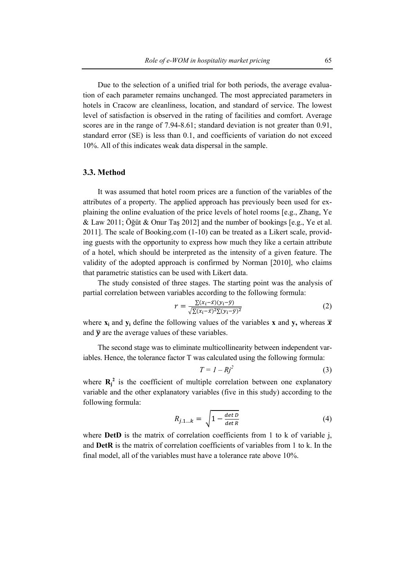Due to the selection of a unified trial for both periods, the average evaluation of each parameter remains unchanged. The most appreciated parameters in hotels in Cracow are cleanliness, location, and standard of service. The lowest level of satisfaction is observed in the rating of facilities and comfort. Average scores are in the range of 7.94-8.61; standard deviation is not greater than 0.91, standard error (SE) is less than 0.1, and coefficients of variation do not exceed 10%. All of this indicates weak data dispersal in the sample.

# **3.3. Method**

It was assumed that hotel room prices are a function of the variables of the attributes of a property. The applied approach has previously been used for explaining the online evaluation of the price levels of hotel rooms [e.g., Zhang, Ye & Law 2011; Öğüt & Onur Taş 2012] and the number of bookings [e.g., Ye et al. 2011]. The scale of Booking.com (1-10) can be treated as a Likert scale, providing guests with the opportunity to express how much they like a certain attribute of a hotel, which should be interpreted as the intensity of a given feature. The validity of the adopted approach is confirmed by Norman [2010], who claims that parametric statistics can be used with Likert data.

The study consisted of three stages. The starting point was the analysis of partial correlation between variables according to the following formula:

$$
r = \frac{\sum (x_i - \bar{x})(y_i - \bar{y})}{\sqrt{\sum (x_i - \bar{x})^2 \sum (y_i - \bar{y})^2}}\tag{2}
$$

where  $\mathbf{x}_i$  and  $\mathbf{y}_i$  define the following values of the variables **x** and **y**, whereas  $\overline{\mathbf{x}}$ and  $\bar{v}$  are the average values of these variables.

The second stage was to eliminate multicollinearity between independent variables. Hence, the tolerance factor T was calculated using the following formula:

$$
T = I - Rj^2 \tag{3}
$$

where  $\mathbf{R}_i^2$  is the coefficient of multiple correlation between one explanatory variable and the other explanatory variables (five in this study) according to the following formula:

$$
R_{j.1\ldots k} = \sqrt{1 - \frac{\det D}{\det R}}
$$
 (4)

where **DetD** is the matrix of correlation coefficients from 1 to k of variable j, and **DetR** is the matrix of correlation coefficients of variables from 1 to k. In the final model, all of the variables must have a tolerance rate above 10%.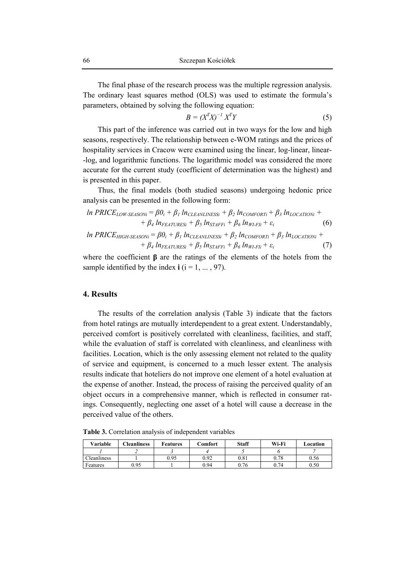The final phase of the research process was the multiple regression analysis. The ordinary least squares method (OLS) was used to estimate the formula's parameters, obtained by solving the following equation:

$$
B = (X^T X)^{-1} X^T Y \tag{5}
$$

This part of the inference was carried out in two ways for the low and high seasons, respectively. The relationship between e-WOM ratings and the prices of hospitality services in Cracow were examined using the linear, log-linear, linear- -log, and logarithmic functions. The logarithmic model was considered the more accurate for the current study (coefficient of determination was the highest) and is presented in this paper.

Thus, the final models (both studied seasons) undergoing hedonic price analysis can be presented in the following form:

In PRICE<sub>LOW-SEASONi</sub> = 
$$
\beta 0_i + \beta_1 ln_{CLEANLINESi} + \beta_2 ln_{COMFORTi} + \beta_3 ln_{LOCATIONi} +
$$
  
+  $\beta_4 ln_{FEATURESi} + \beta_5 ln_{STAFFi} + \beta_6 ln_{WFFli} + \varepsilon_i$  (6)  
In PRICE<sub>HIGH-SEASONi</sub> =  $\beta 0_i + \beta_1 ln_{CLEANLINESi} + \beta_2 ln_{COMFORTi} + \beta_3 ln_{LOCATIONi} +$ 

 $+ \beta_4 \ln_{FEATURESi} + \beta_5 \ln_{STAFFi} + \beta_6 \ln_{WI-Fli} + \varepsilon_i$  (7)

where the coefficient **β** are the ratings of the elements of the hotels from the sample identified by the index  $\mathbf{i}$  ( $\mathbf{i} = 1, ..., 97$ ).

# **4. Results**

The results of the correlation analysis (Table 3) indicate that the factors from hotel ratings are mutually interdependent to a great extent. Understandably, perceived comfort is positively correlated with cleanliness, facilities, and staff, while the evaluation of staff is correlated with cleanliness, and cleanliness with facilities. Location, which is the only assessing element not related to the quality of service and equipment, is concerned to a much lesser extent. The analysis results indicate that hoteliers do not improve one element of a hotel evaluation at the expense of another. Instead, the process of raising the perceived quality of an object occurs in a comprehensive manner, which is reflected in consumer ratings. Consequently, neglecting one asset of a hotel will cause a decrease in the perceived value of the others.

**Table 3.** Correlation analysis of independent variables

| Variable    | <b>Cleanliness</b> | Features | Comfort | <b>Staff</b> | Wi-Fi | Location |
|-------------|--------------------|----------|---------|--------------|-------|----------|
|             |                    |          |         |              |       |          |
| Cleanliness |                    | 0.95     | 0.92    | 0.81         | 0.78  | 0.56     |
| Features    | 0.95               |          | 0.94    | 0.76         | 0.74  | 0.50     |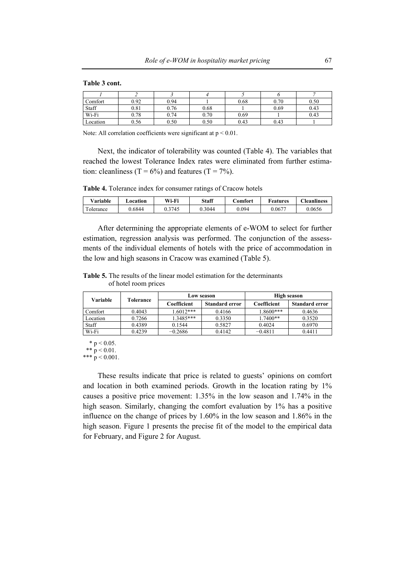#### **Table 3 cont.**

| Comfort  | 0.92 | 0.94 |      | 0.68 | 0.70 | 0.50 |
|----------|------|------|------|------|------|------|
| Staff    | 0.81 | 0.76 | 0.68 |      | 0.69 | 0.43 |
| Wi-Fi    | 0.78 | 0.74 | 0.70 | 0.69 |      | 0.43 |
| Location | 0.56 | 0.50 | 0.50 | 0.43 | 0.43 |      |

Note: All correlation coefficients were significant at  $p \le 0.01$ .

Next, the indicator of tolerability was counted (Table 4). The variables that reached the lowest Tolerance Index rates were eliminated from further estimation: cleanliness (T =  $6\%$ ) and features (T =  $7\%$ ).

**Table 4.** Tolerance index for consumer ratings of Cracow hotels

| $^{\vee}$ ariable l | <b>⊿ocation</b> | Wi-Fi  | <b>Staff</b> | .'omfort | <b>Features</b> | <b>Teanliness</b> |
|---------------------|-----------------|--------|--------------|----------|-----------------|-------------------|
| olerance            | 0.6844          | 0.3745 | J.3044       | 0.094    | 0.0677          | 0.0656            |

After determining the appropriate elements of e-WOM to select for further estimation, regression analysis was performed. The conjunction of the assessments of the individual elements of hotels with the price of accommodation in the low and high seasons in Cracow was examined (Table 5).

**Table 5.** The results of the linear model estimation for the determinants of hotel room prices

| Variable | Tolerance |             | Low season            | High season |                       |  |
|----------|-----------|-------------|-----------------------|-------------|-----------------------|--|
|          |           | Coefficient | <b>Standard error</b> | Coefficient | <b>Standard error</b> |  |
| Comfort  | 0.4043    | $1.6012***$ | 0.4166                | 1.8600***   | 0.4636                |  |
| Location | 0.7266    | $1.3485***$ | 0.3350                | $1.7400**$  | 0.3520                |  |
| Staff    | 0.4389    | 0.1544      | 0.5827                | 0.4024      | 0.6970                |  |
| Wi-Fi    | 0.4239    | $-0.2686$   | 0.4142                | $-0.4811$   | 0.4411                |  |

\*  $p < 0.05$ .

\*\*  $p < 0.01$ .

\*\*\*  $p < 0.001$ .

These results indicate that price is related to guests' opinions on comfort and location in both examined periods. Growth in the location rating by 1% causes a positive price movement: 1.35% in the low season and 1.74% in the high season. Similarly, changing the comfort evaluation by 1% has a positive influence on the change of prices by 1.60% in the low season and 1.86% in the high season. Figure 1 presents the precise fit of the model to the empirical data for February, and Figure 2 for August.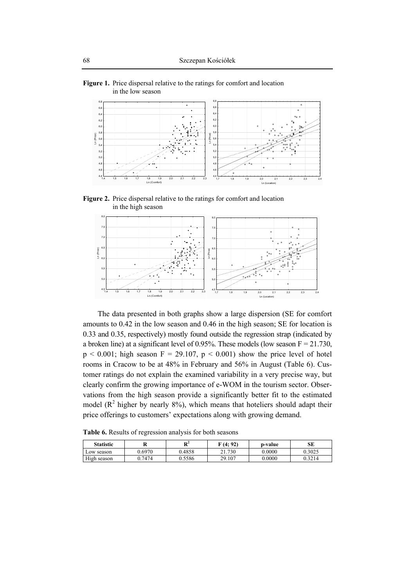

**Figure 1.** Price dispersal relative to the ratings for comfort and location in the low season

**Figure 2.** Price dispersal relative to the ratings for comfort and location in the high season



The data presented in both graphs show a large dispersion (SE for comfort amounts to 0.42 in the low season and 0.46 in the high season; SE for location is 0.33 and 0.35, respectively) mostly found outside the regression strap (indicated by a broken line) at a significant level of 0.95%. These models (low season  $F = 21.730$ ,  $p < 0.001$ ; high season  $F = 29.107$ ,  $p < 0.001$ ) show the price level of hotel rooms in Cracow to be at 48% in February and 56% in August (Table 6). Customer ratings do not explain the examined variability in a very precise way, but clearly confirm the growing importance of e-WOM in the tourism sector. Observations from the high season provide a significantly better fit to the estimated model ( $\mathbb{R}^2$  higher by nearly 8%), which means that hoteliers should adapt their price offerings to customers' expectations along with growing demand.

**Table 6.** Results of regression analysis for both seasons

| <b>Statistic</b> |        | $\mathbf{m}^2$<br>v | $\Pi$ (4: 92)       | p-value | SЕ     |
|------------------|--------|---------------------|---------------------|---------|--------|
| Low season       | 0.6970 | 0.4858              | .730<br>$^{\sim}$ 1 | 0.0000  | 0.3025 |
| High season      | 1.7474 | 0.5586              | 29.107              | 0.0000  | 0.3214 |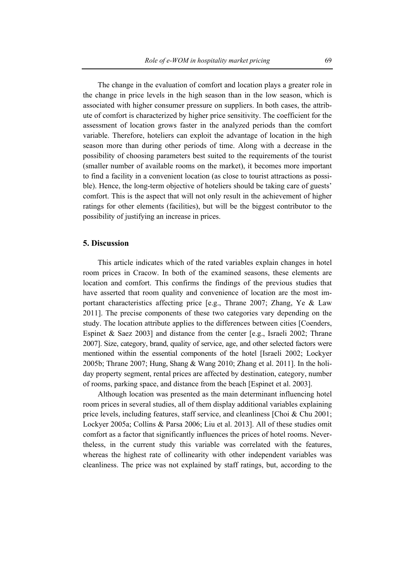The change in the evaluation of comfort and location plays a greater role in the change in price levels in the high season than in the low season, which is associated with higher consumer pressure on suppliers. In both cases, the attribute of comfort is characterized by higher price sensitivity. The coefficient for the assessment of location grows faster in the analyzed periods than the comfort variable. Therefore, hoteliers can exploit the advantage of location in the high season more than during other periods of time. Along with a decrease in the possibility of choosing parameters best suited to the requirements of the tourist (smaller number of available rooms on the market), it becomes more important to find a facility in a convenient location (as close to tourist attractions as possible). Hence, the long-term objective of hoteliers should be taking care of guests' comfort. This is the aspect that will not only result in the achievement of higher ratings for other elements (facilities), but will be the biggest contributor to the possibility of justifying an increase in prices.

#### **5. Discussion**

This article indicates which of the rated variables explain changes in hotel room prices in Cracow. In both of the examined seasons, these elements are location and comfort. This confirms the findings of the previous studies that have asserted that room quality and convenience of location are the most important characteristics affecting price  $[e.g.,$  Thrane 2007; Zhang, Ye & Law 2011]. The precise components of these two categories vary depending on the study. The location attribute applies to the differences between cities [Coenders, Espinet & Saez 2003] and distance from the center [e.g., Israeli 2002; Thrane 2007]. Size, category, brand, quality of service, age, and other selected factors were mentioned within the essential components of the hotel [Israeli 2002; Lockyer 2005b; Thrane 2007; Hung, Shang & Wang 2010; Zhang et al. 2011]. In the holiday property segment, rental prices are affected by destination, category, number of rooms, parking space, and distance from the beach [Espinet et al. 2003].

Although location was presented as the main determinant influencing hotel room prices in several studies, all of them display additional variables explaining price levels, including features, staff service, and cleanliness [Choi & Chu 2001; Lockyer 2005a; Collins & Parsa 2006; Liu et al. 2013]. All of these studies omit comfort as a factor that significantly influences the prices of hotel rooms. Nevertheless, in the current study this variable was correlated with the features, whereas the highest rate of collinearity with other independent variables was cleanliness. The price was not explained by staff ratings, but, according to the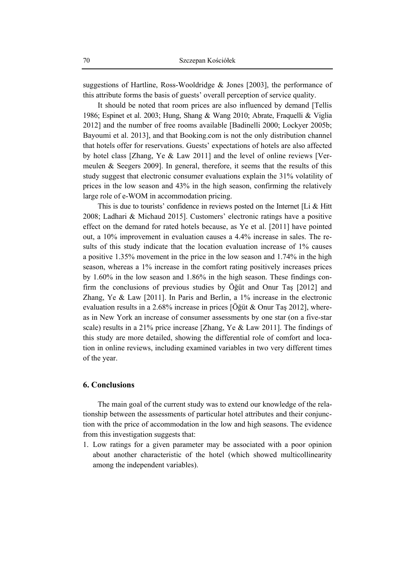suggestions of Hartline, Ross-Wooldridge & Jones [2003], the performance of this attribute forms the basis of guests' overall perception of service quality.

It should be noted that room prices are also influenced by demand [Tellis 1986; Espinet et al. 2003; Hung, Shang & Wang 2010; Abrate, Fraquelli & Viglia 2012] and the number of free rooms available [Badinelli 2000; Lockyer 2005b; Bayoumi et al. 2013], and that Booking.com is not the only distribution channel that hotels offer for reservations. Guests' expectations of hotels are also affected by hotel class [Zhang, Ye & Law 2011] and the level of online reviews [Vermeulen & Seegers 2009]. In general, therefore, it seems that the results of this study suggest that electronic consumer evaluations explain the 31% volatility of prices in the low season and 43% in the high season, confirming the relatively large role of e-WOM in accommodation pricing.

This is due to tourists' confidence in reviews posted on the Internet [Li & Hitt] 2008; Ladhari & Michaud 2015]. Customers' electronic ratings have a positive effect on the demand for rated hotels because, as Ye et al. [2011] have pointed out, a 10% improvement in evaluation causes a 4.4% increase in sales. The results of this study indicate that the location evaluation increase of 1% causes a positive 1.35% movement in the price in the low season and 1.74% in the high season, whereas a 1% increase in the comfort rating positively increases prices by 1.60% in the low season and 1.86% in the high season. These findings confirm the conclusions of previous studies by Öğüt and Onur Taş [2012] and Zhang, Ye & Law [2011]. In Paris and Berlin, a 1% increase in the electronic evaluation results in a 2.68% increase in prices [Öğüt & Onur Taş 2012], whereas in New York an increase of consumer assessments by one star (on a five-star scale) results in a 21% price increase [Zhang, Ye & Law 2011]. The findings of this study are more detailed, showing the differential role of comfort and location in online reviews, including examined variables in two very different times of the year.

### **6. Conclusions**

The main goal of the current study was to extend our knowledge of the relationship between the assessments of particular hotel attributes and their conjunction with the price of accommodation in the low and high seasons. The evidence from this investigation suggests that:

1. Low ratings for a given parameter may be associated with a poor opinion about another characteristic of the hotel (which showed multicollinearity among the independent variables).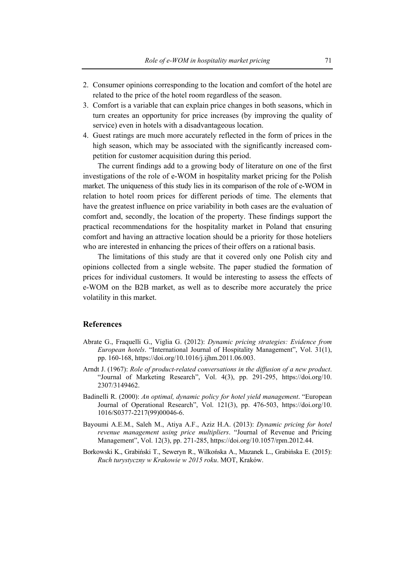- 2. Consumer opinions corresponding to the location and comfort of the hotel are related to the price of the hotel room regardless of the season.
- 3. Comfort is a variable that can explain price changes in both seasons, which in turn creates an opportunity for price increases (by improving the quality of service) even in hotels with a disadvantageous location.
- 4. Guest ratings are much more accurately reflected in the form of prices in the high season, which may be associated with the significantly increased competition for customer acquisition during this period.

The current findings add to a growing body of literature on one of the first investigations of the role of e-WOM in hospitality market pricing for the Polish market. The uniqueness of this study lies in its comparison of the role of e-WOM in relation to hotel room prices for different periods of time. The elements that have the greatest influence on price variability in both cases are the evaluation of comfort and, secondly, the location of the property. These findings support the practical recommendations for the hospitality market in Poland that ensuring comfort and having an attractive location should be a priority for those hoteliers who are interested in enhancing the prices of their offers on a rational basis.

The limitations of this study are that it covered only one Polish city and opinions collected from a single website. The paper studied the formation of prices for individual customers. It would be interesting to assess the effects of e-WOM on the B2B market, as well as to describe more accurately the price volatility in this market.

#### **References**

- Abrate G., Fraquelli G., Viglia G. (2012): *Dynamic pricing strategies: Evidence from European hotels*. "International Journal of Hospitality Management", Vol. 31(1), pp. 160-168, https://doi.org/10.1016/j.ijhm.2011.06.003.
- Arndt J. (1967): *Role of product-related conversations in the diffusion of a new product*. "Journal of Marketing Research", Vol. 4(3), pp. 291-295, https://doi.org/10. 2307/3149462.
- Badinelli R. (2000): *An optimal, dynamic policy for hotel yield management*. "European Journal of Operational Research", Vol. 121(3), pp. 476-503, https://doi.org/10. 1016/S0377-2217(99)00046-6.
- Bayoumi A.E.M., Saleh M., Atiya A.F., Aziz H.A. (2013): *Dynamic pricing for hotel revenue management using price multipliers*. "Journal of Revenue and Pricing Management", Vol. 12(3), pp. 271-285, https://doi.org/10.1057/rpm.2012.44.
- Borkowski K., Grabiński T., Seweryn R., Wilkońska A., Mazanek L., Grabińska E. (2015): *Ruch turystyczny w Krakowie w 2015 roku*. MOT, Kraków.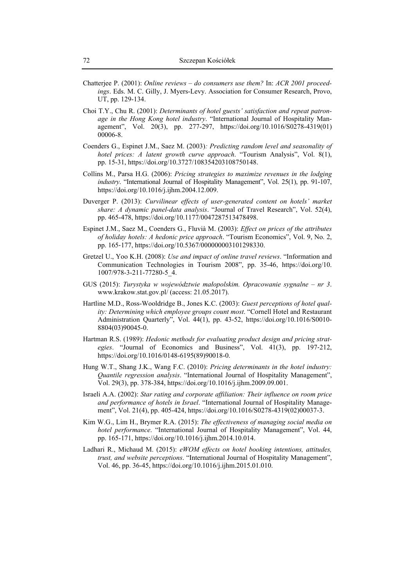- Chatterjee P. (2001): *Online reviews do consumers use them?* In: *ACR 2001 proceedings*. Eds. M. C. Gilly, J. Myers-Levy. Association for Consumer Research, Provo, UT, pp. 129-134.
- Choi T.Y., Chu R. (2001): *Determinants of hotel guests' satisfaction and repeat patronage in the Hong Kong hotel industry*. "International Journal of Hospitality Management", Vol. 20(3), pp. 277-297, https://doi.org/10.1016/S0278-4319(01) 00006-8.
- Coenders G., Espinet J.M., Saez M. (2003)*: Predicting random level and seasonality of hotel prices: A latent growth curve approach*. "Tourism Analysis", Vol. 8(1), pp. 15-31, https://doi.org/10.3727/108354203108750148.
- Collins M., Parsa H.G. (2006): *Pricing strategies to maximize revenues in the lodging industry*. "International Journal of Hospitality Management", Vol. 25(1), pp. 91-107, https://doi.org/10.1016/j.ijhm.2004.12.009.
- Duverger P. (2013): *Curvilinear effects of user-generated content on hotels' market share: A dynamic panel-data analysis*. "Journal of Travel Research", Vol. 52(4), pp. 465-478, https://doi.org/10.1177/0047287513478498.
- Espinet J.M., Saez M., Coenders G., Fluvià M. (2003): *Effect on prices of the attributes of holiday hotels: A hedonic price approach*. "Tourism Economics", Vol. 9, No. 2, pp. 165‐177, https://doi.org/10.5367/000000003101298330.
- Gretzel U., Yoo K.H. (2008): *Use and impact of online travel reviews*. "Information and Communication Technologies in Tourism 2008", pp. 35-46, https://doi.org/10. 1007/978-3-211-77280-5\_4.
- GUS (2015): *Turystyka w województwie małopolskim. Opracowanie sygnalne nr 3*. www.krakow.stat.gov.pl/ (access: 21.05.2017).
- Hartline M.D., Ross-Wooldridge B., Jones K.C. (2003): *Guest perceptions of hotel quality: Determining which employee groups count most*. "Cornell Hotel and Restaurant Administration Quarterly", Vol. 44(1), pp. 43-52, https://doi.org/10.1016/S0010- 8804(03)90045-0.
- Hartman R.S. (1989): *Hedonic methods for evaluating product design and pricing strategies*. "Journal of Economics and Business", Vol. 41(3), pp. 197‐212, https://doi.org/10.1016/0148-6195(89)90018-0.
- Hung W.T., Shang J.K., Wang F.C. (2010): *Pricing determinants in the hotel industry: Quantile regression analysis*. "International Journal of Hospitality Management", Vol. 29(3), pp. 378-384, https://doi.org/10.1016/j.ijhm.2009.09.001.
- Israeli A.A. (2002): *Star rating and corporate affiliation: Their influence on room price and performance of hotels in Israel*. "International Journal of Hospitality Management", Vol. 21(4), pp. 405-424, https://doi.org/10.1016/S0278-4319(02)00037-3.
- Kim W.G., Lim H., Brymer R.A. (2015): *The effectiveness of managing social media on hotel performance*. "International Journal of Hospitality Management", Vol. 44, pp. 165-171, https://doi.org/10.1016/j.ijhm.2014.10.014.
- Ladhari R., Michaud M. (2015): *eWOM effects on hotel booking intentions, attitudes, trust, and website perceptions*. "International Journal of Hospitality Management", Vol. 46, pp. 36-45, https://doi.org/10.1016/j.ijhm.2015.01.010.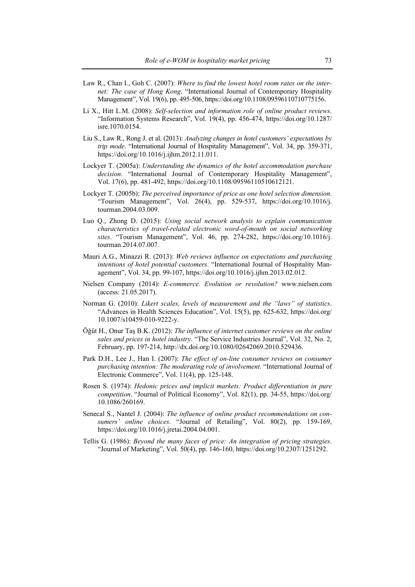- Law R., Chan I., Goh C. (2007): *Where to find the lowest hotel room rates on the internet: The case of Hong Kong*. "International Journal of Contemporary Hospitality Management", Vol. 19(6), pp. 495-506, https://doi.org/10.1108/09596110710775156.
- Li X., Hitt L.M. (2008): *Self-selection and information role of online product reviews*. "Information Systems Research", Vol. 19(4), pp. 456-474, https://doi.org/10.1287/ isre.1070.0154.
- Liu S., Law R., Rong J. et al. (2013): *Analyzing changes in hotel customers' expectations by trip mode*. "International Journal of Hospitality Management", Vol. 34, pp. 359-371, https://doi.org/10.1016/j.ijhm.2012.11.011.
- Lockyer T. (2005a): *Understanding the dynamics of the hotel accommodation purchase decision*. "International Journal of Contemporary Hospitality Management", Vol. 17(6), pp. 481-492, https://doi.org/10.1108/09596110510612121.
- Lockyer T. (2005b): *The perceived importance of price as one hotel selection dimension*. "Tourism Management", Vol. 26(4), pp. 529-537, https://doi.org/10.1016/j. tourman.2004.03.009.
- Luo Q., Zhong D. (2015): *Using social network analysis to explain communication characteristics of travel-related electronic word-of-mouth on social networking sites*. "Tourism Management", Vol. 46, pp. 274-282, https://doi.org/10.1016/j. tourman.2014.07.007.
- Mauri A.G., Minazzi R. (2013): *Web reviews influence on expectations and purchasing intentions of hotel potential customers*. "International Journal of Hospitality Management", Vol. 34, pp. 99-107, https://doi.org/10.1016/j.ijhm.2013.02.012.
- Nielsen Company (2014): *E-commerce. Evolution or revolution?* www.nielsen.com (access: 21.05.2017).
- Norman G. (2010): *Likert scales, levels of measurement and the "laws" of statistics*. "Advances in Health Sciences Education", Vol. 15(5), pp. 625-632, https://doi.org/ 10.1007/s10459-010-9222-y.
- Öğüt H., Onur Taş B.K. (2012): *The influence of internet customer reviews on the online sales and prices in hotel industry*. "The Service Industries Journal", Vol. 32, No. 2, February, pp. 197-214, http://dx.doi.org/10.1080/02642069.2010.529436.
- Park D.H., Lee J., Han I. (2007): *The effect of on-line consumer reviews on consumer purchasing intention: The moderating role of involvement*. "International Journal of Electronic Commerce", Vol. 11(4), pp. 125-148.
- Rosen S. (1974): *Hedonic prices and implicit markets: Product differentiation in pure competition*. "Journal of Political Economy", Vol. 82(1), pp. 34-55, https://doi.org/ 10.1086/260169.
- Senecal S., Nantel J. (2004): *The influence of online product recommendations on consumers' online choices*. "Journal of Retailing", Vol. 80(2), pp. 159-169, https://doi.org/10.1016/j.jretai.2004.04.001.
- Tellis G. (1986): *Beyond the many faces of price: An integration of pricing strategies*. "Journal of Marketing", Vol. 50(4), pp. 146-160, https://doi.org/10.2307/1251292.